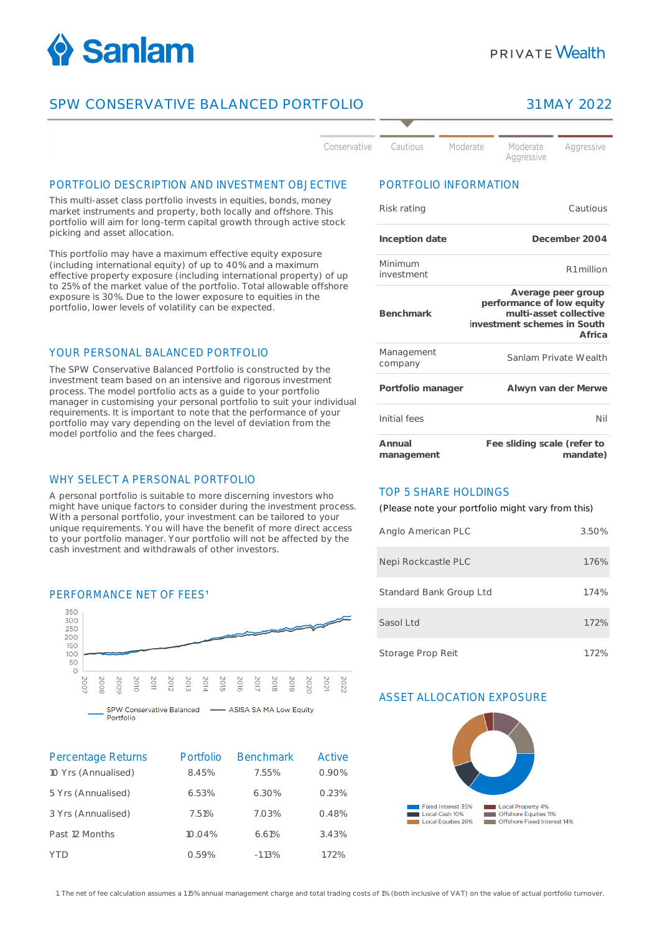

# **PRIVATE Wealth**

## SPW CONSERVATIVE BALANCED PORTFOLIO 31 MAY 2022



#### PORTFOLIO DESCRIPTION AND INVESTMENT OBJECTIVE

This multi-asset class portfolio invests in equities, bonds, money market instruments and property, both locally and offshore. This portfolio will aim for long-term capital growth through active stock picking and asset allocation.

This portfolio may have a maximum effective equity exposure (including international equity) of up to 40% and a maximum effective property exposure (including international property) of up to 25% of the market value of the portfolio. Total allowable offshore exposure is 30%. Due to the lower exposure to equities in the portfolio, lower levels of volatility can be expected.

#### YOUR PERSONAL BALANCED PORTFOLIO

The SPW Conservative Balanced Portfolio is constructed by the investment team based on an intensive and rigorous investment process. The model portfolio acts as a guide to your portfolio manager in customising your personal portfolio to suit your individual requirements. It is important to note that the performance of your portfolio may vary depending on the level of deviation from the model portfolio and the fees charged.

#### WHY SELECT A PERSONAL PORTFOLIO

A personal portfolio is suitable to more discerning investors who might have unique factors to consider during the investment process. With a personal portfolio, your investment can be tailored to your unique requirements. You will have the benefit of more direct access to your portfolio manager. Your portfolio will not be affected by the cash investment and withdrawals of other investors.



| <b>Percentage Returns</b> | Portfolio | <b>Benchmark</b> | Active |
|---------------------------|-----------|------------------|--------|
| 10 Yrs (Annualised)       | 8.45%     | 7.55%            | 0.90%  |
| 5 Yrs (Annualised)        | 6.53%     | 6.30%            | 0.23%  |
| 3 Yrs (Annualised)        | 7.51%     | 7.03%            | 0.48%  |
| Past 12 Months            | 10.04%    | 6.61%            | 3.43%  |
| YTD                       | 0.59%     | $-1.13%$         | 1.72%  |

### PORTFOLIO INFORMATION

| Risk rating           | Cautious                                                                                                           |
|-----------------------|--------------------------------------------------------------------------------------------------------------------|
| Inception date        | December 2004                                                                                                      |
| Minimum<br>investment | R1 million                                                                                                         |
| <b>Benchmark</b>      | Average peer group<br>performance of low equity<br>multi-asset collective<br>investment schemes in South<br>Africa |
| Management<br>company | Sanlam Private Wealth                                                                                              |
| Portfolio manager     | Alwyn van der Merwe                                                                                                |
| Initial fees          | Nil                                                                                                                |
| Annual<br>management  | Fee sliding scale (refer to<br>mandate)                                                                            |

#### TOP 5 SHARE HOLDINGS

(Please note your portfolio might vary from this)

| Anglo American PLC      | 3.50% |
|-------------------------|-------|
| Nepi Rockcastle PLC     | 1.76% |
| Standard Bank Group Ltd | 1.74% |
| Sasol Ltd               | 1.72% |
| Storage Prop Reit       | 1.72% |

#### ASSET ALLOCATION EXPOSURE



1. The net of fee calculation assumes a 1.15% annual management charge and total trading costs of 1% (both inclusive of VAT) on the value of actual portfolio turnover.